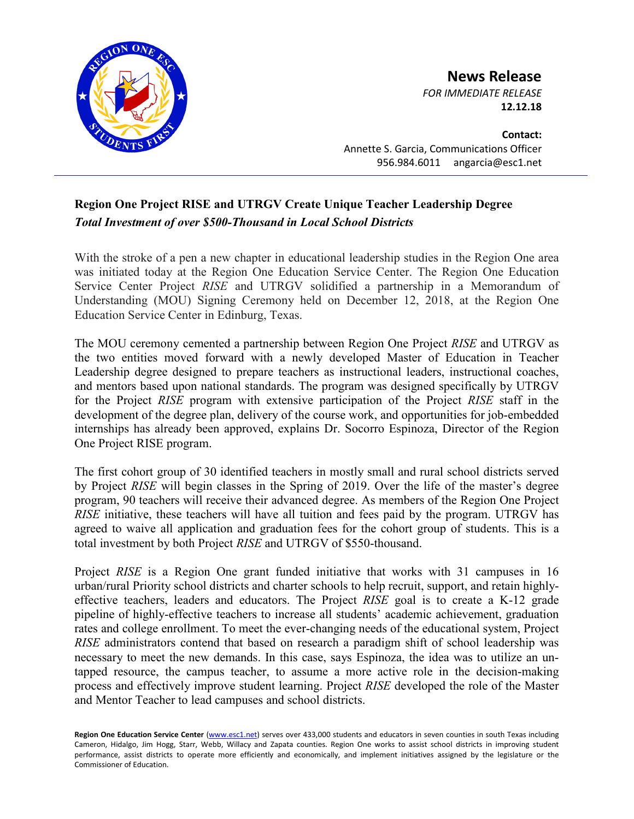

**News Release** *FOR IMMEDIATE RELEASE*

**12.12.18**

**Contact:** Annette S. Garcia, Communications Officer 956.984.6011 angarcia@esc1.net

## **Region One Project RISE and UTRGV Create Unique Teacher Leadership Degree** *Total Investment of over \$500-Thousand in Local School Districts*

With the stroke of a pen a new chapter in educational leadership studies in the Region One area was initiated today at the Region One Education Service Center. The Region One Education Service Center Project *RISE* and UTRGV solidified a partnership in a Memorandum of Understanding (MOU) Signing Ceremony held on December 12, 2018, at the Region One Education Service Center in Edinburg, Texas.

The MOU ceremony cemented a partnership between Region One Project *RISE* and UTRGV as the two entities moved forward with a newly developed Master of Education in Teacher Leadership degree designed to prepare teachers as instructional leaders, instructional coaches, and mentors based upon national standards. The program was designed specifically by UTRGV for the Project *RISE* program with extensive participation of the Project *RISE* staff in the development of the degree plan, delivery of the course work, and opportunities for job-embedded internships has already been approved, explains Dr. Socorro Espinoza, Director of the Region One Project RISE program.

The first cohort group of 30 identified teachers in mostly small and rural school districts served by Project *RISE* will begin classes in the Spring of 2019. Over the life of the master's degree program, 90 teachers will receive their advanced degree. As members of the Region One Project *RISE* initiative, these teachers will have all tuition and fees paid by the program. UTRGV has agreed to waive all application and graduation fees for the cohort group of students. This is a total investment by both Project *RISE* and UTRGV of \$550-thousand.

Project *RISE* is a Region One grant funded initiative that works with 31 campuses in 16 urban/rural Priority school districts and charter schools to help recruit, support, and retain highlyeffective teachers, leaders and educators. The Project *RISE* goal is to create a K-12 grade pipeline of highly-effective teachers to increase all students' academic achievement, graduation rates and college enrollment. To meet the ever-changing needs of the educational system, Project *RISE* administrators contend that based on research a paradigm shift of school leadership was necessary to meet the new demands. In this case, says Espinoza, the idea was to utilize an untapped resource, the campus teacher, to assume a more active role in the decision-making process and effectively improve student learning. Project *RISE* developed the role of the Master and Mentor Teacher to lead campuses and school districts.

Region One Education Service Center [\(www.esc1.net\)](http://www.esc1.net/) serves over 433,000 students and educators in seven counties in south Texas including Cameron, Hidalgo, Jim Hogg, Starr, Webb, Willacy and Zapata counties. Region One works to assist school districts in improving student performance, assist districts to operate more efficiently and economically, and implement initiatives assigned by the legislature or the Commissioner of Education.